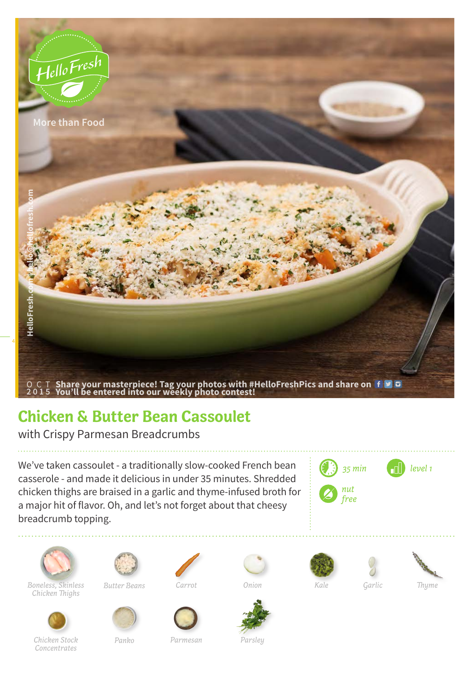

## **Chicken & Butter Bean Cassoulet**

with Crispy Parmesan Breadcrumbs

We've taken cassoulet - a traditionally slow-cooked French bean casserole - and made it delicious in under 35 minutes. Shredded chicken thighs are braised in a garlic and thyme-infused broth for a major hit of flavor. Oh, and let's not forget about that cheesy breadcrumb topping.





*Boneless, Skinless Kale Garlic Thyme Chicken Thighs*



 $Butter$  *Beans* 





*Chicken Stock* 

*Concentrates*



*Panko Parmesan Parsley*